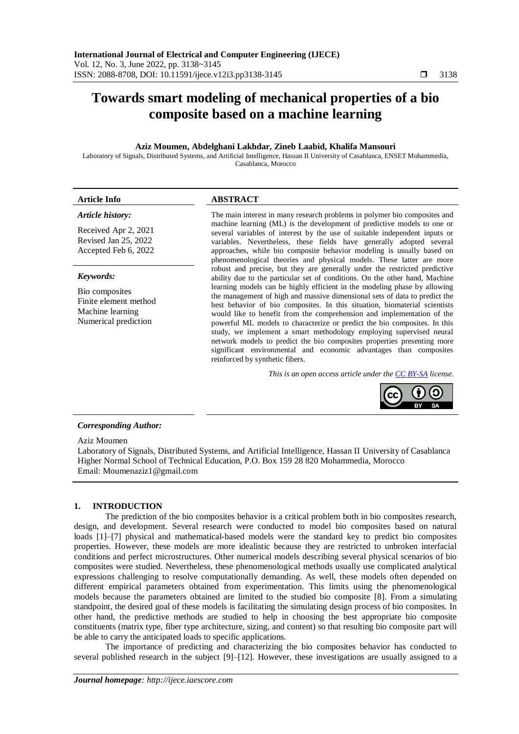# **Towards smart modeling of mechanical properties of a bio composite based on a machine learning**

# **Aziz Moumen, Abdelghani Lakhdar, Zineb Laabid, Khalifa Mansouri**

Laboratory of Signals, Distributed Systems, and Artificial Intelligence, Hassan II University of Casablanca, ENSET Mohammedia, Casablanca, Morocco

| <b>Article Info</b>                                                                              | <b>ABSTRACT</b>                                                                                                                                                                                                                                                                                                                                                                                                                                                                                                                                                                                                                                                                                                                                                                                                     |
|--------------------------------------------------------------------------------------------------|---------------------------------------------------------------------------------------------------------------------------------------------------------------------------------------------------------------------------------------------------------------------------------------------------------------------------------------------------------------------------------------------------------------------------------------------------------------------------------------------------------------------------------------------------------------------------------------------------------------------------------------------------------------------------------------------------------------------------------------------------------------------------------------------------------------------|
| Article history:<br>Received Apr 2, 2021<br>Revised Jan 25, 2022<br>Accepted Feb 6, 2022         | The main interest in many research problems in polymer bio composites and<br>machine learning (ML) is the development of predictive models to one or<br>several variables of interest by the use of suitable independent inputs or<br>variables. Nevertheless, these fields have generally adopted several<br>approaches, while bio composite behavior modeling is usually based on<br>phenomenological theories and physical models. These latter are more                                                                                                                                                                                                                                                                                                                                                         |
| Keywords:<br>Bio composites<br>Finite element method<br>Machine learning<br>Numerical prediction | robust and precise, but they are generally under the restricted predictive<br>ability due to the particular set of conditions. On the other hand, Machine<br>learning models can be highly efficient in the modeling phase by allowing<br>the management of high and massive dimensional sets of data to predict the<br>best behavior of bio composites. In this situation, biomaterial scientists<br>would like to benefit from the comprehension and implementation of the<br>powerful ML models to characterize or predict the bio composites. In this<br>study, we implement a smart methodology employing supervised neural<br>network models to predict the bio composites properties presenting more<br>significant environmental and economic advantages than composites<br>reinforced by synthetic fibers. |
|                                                                                                  | This is an open access article under the <b>CC BY-SA</b> license.                                                                                                                                                                                                                                                                                                                                                                                                                                                                                                                                                                                                                                                                                                                                                   |

## *Corresponding Author:*

Aziz Moumen

Laboratory of Signals, Distributed Systems, and Artificial Intelligence, Hassan II University of Casablanca Higher Normal School of Technical Education, P.O. Box 159 28 820 Mohammedia, Morocco Email: Moumenaziz1@gmail.com

## **1. INTRODUCTION**

The prediction of the bio composites behavior is a critical problem both in bio composites research, design, and development. Several research were conducted to model bio composites based on natural loads [1]–[7] physical and mathematical-based models were the standard key to predict bio composites properties. However, these models are more idealistic because they are restricted to unbroken interfacial conditions and perfect microstructures. Other numerical models describing several physical scenarios of bio composites were studied. Nevertheless, these phenomenological methods usually use complicated analytical expressions challenging to resolve computationally demanding. As well, these models often depended on different empirical parameters obtained from experimentation. This limits using the phenomenological models because the parameters obtained are limited to the studied bio composite [8]. From a simulating standpoint, the desired goal of these models is facilitating the simulating design process of bio composites. In other hand, the predictive methods are studied to help in choosing the best appropriate bio composite constituents (matrix type, fiber type architecture, sizing, and content) so that resulting bio composite part will be able to carry the anticipated loads to specific applications.

The importance of predicting and characterizing the bio composites behavior has conducted to several published research in the subject [9]–[12]. However, these investigations are usually assigned to a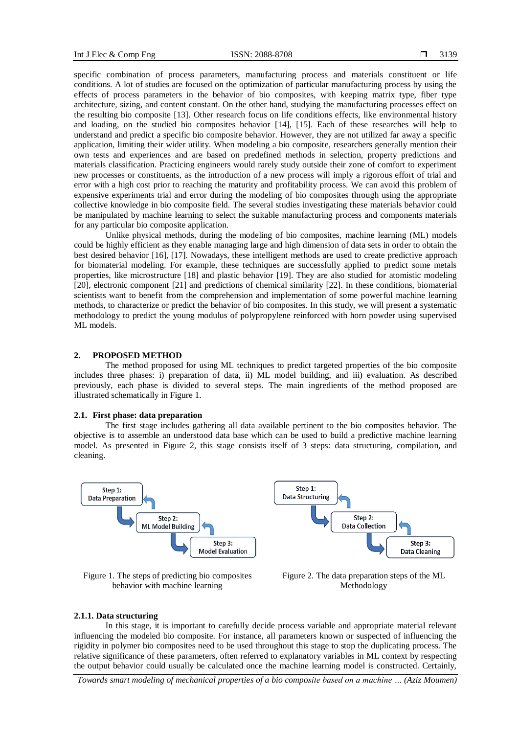specific combination of process parameters, manufacturing process and materials constituent or life conditions. A lot of studies are focused on the optimization of particular manufacturing process by using the effects of process parameters in the behavior of bio composites, with keeping matrix type, fiber type architecture, sizing, and content constant. On the other hand, studying the manufacturing processes effect on the resulting bio composite [13]. Other research focus on life conditions effects, like environmental history and loading, on the studied bio composites behavior [14], [15]. Each of these researches will help to understand and predict a specific bio composite behavior. However, they are not utilized far away a specific application, limiting their wider utility. When modeling a bio composite, researchers generally mention their own tests and experiences and are based on predefined methods in selection, property predictions and materials classification. Practicing engineers would rarely study outside their zone of comfort to experiment new processes or constituents, as the introduction of a new process will imply a rigorous effort of trial and error with a high cost prior to reaching the maturity and profitability process. We can avoid this problem of expensive experiments trial and error during the modeling of bio composites through using the appropriate collective knowledge in bio composite field. The several studies investigating these materials behavior could be manipulated by machine learning to select the suitable manufacturing process and components materials for any particular bio composite application.

Unlike physical methods, during the modeling of bio composites, machine learning (ML) models could be highly efficient as they enable managing large and high dimension of data sets in order to obtain the best desired behavior [16], [17]. Nowadays, these intelligent methods are used to create predictive approach for biomaterial modeling. For example, these techniques are successfully applied to predict some metals properties, like microstructure [18] and plastic behavior [19]. They are also studied for atomistic modeling [20], electronic component [21] and predictions of chemical similarity [22]. In these conditions, biomaterial scientists want to benefit from the comprehension and implementation of some powerful machine learning methods, to characterize or predict the behavior of bio composites. In this study, we will present a systematic methodology to predict the young modulus of polypropylene reinforced with horn powder using supervised ML models.

#### **2. PROPOSED METHOD**

The method proposed for using ML techniques to predict targeted properties of the bio composite includes three phases: i) preparation of data, ii) ML model building, and iii) evaluation. As described previously, each phase is divided to several steps. The main ingredients of the method proposed are illustrated schematically in Figure 1.

#### **2.1. First phase: data preparation**

The first stage includes gathering all data available pertinent to the bio composites behavior. The objective is to assemble an understood data base which can be used to build a predictive machine learning model. As presented in Figure 2, this stage consists itself of 3 steps: data structuring, compilation, and cleaning.



Figure 1. The steps of predicting bio composites behavior with machine learning



#### **2.1.1. Data structuring**

In this stage, it is important to carefully decide process variable and appropriate material relevant influencing the modeled bio composite. For instance, all parameters known or suspected of influencing the rigidity in polymer bio composites need to be used throughout this stage to stop the duplicating process. The relative significance of these parameters, often referred to explanatory variables in ML context by respecting the output behavior could usually be calculated once the machine learning model is constructed. Certainly,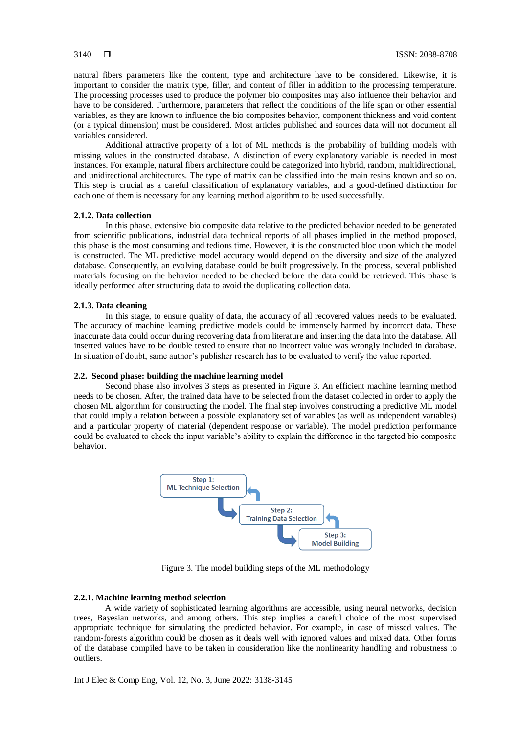natural fibers parameters like the content, type and architecture have to be considered. Likewise, it is important to consider the matrix type, filler, and content of filler in addition to the processing temperature. The processing processes used to produce the polymer bio composites may also influence their behavior and have to be considered. Furthermore, parameters that reflect the conditions of the life span or other essential variables, as they are known to influence the bio composites behavior, component thickness and void content (or a typical dimension) must be considered. Most articles published and sources data will not document all variables considered.

Additional attractive property of a lot of ML methods is the probability of building models with missing values in the constructed database. A distinction of every explanatory variable is needed in most instances. For example, natural fibers architecture could be categorized into hybrid, random, multidirectional, and unidirectional architectures. The type of matrix can be classified into the main resins known and so on. This step is crucial as a careful classification of explanatory variables, and a good-defined distinction for each one of them is necessary for any learning method algorithm to be used successfully.

#### **2.1.2. Data collection**

In this phase, extensive bio composite data relative to the predicted behavior needed to be generated from scientific publications, industrial data technical reports of all phases implied in the method proposed, this phase is the most consuming and tedious time. However, it is the constructed bloc upon which the model is constructed. The ML predictive model accuracy would depend on the diversity and size of the analyzed database. Consequently, an evolving database could be built progressively. In the process, several published materials focusing on the behavior needed to be checked before the data could be retrieved. This phase is ideally performed after structuring data to avoid the duplicating collection data.

### **2.1.3. Data cleaning**

In this stage, to ensure quality of data, the accuracy of all recovered values needs to be evaluated. The accuracy of machine learning predictive models could be immensely harmed by incorrect data. These inaccurate data could occur during recovering data from literature and inserting the data into the database. All inserted values have to be double tested to ensure that no incorrect value was wrongly included in database. In situation of doubt, same author's publisher research has to be evaluated to verify the value reported.

## **2.2. Second phase: building the machine learning model**

Second phase also involves 3 steps as presented in Figure 3. An efficient machine learning method needs to be chosen. After, the trained data have to be selected from the dataset collected in order to apply the chosen ML algorithm for constructing the model. The final step involves constructing a predictive ML model that could imply a relation between a possible explanatory set of variables (as well as independent variables) and a particular property of material (dependent response or variable). The model prediction performance could be evaluated to check the input variable's ability to explain the difference in the targeted bio composite behavior.



Figure 3. The model building steps of the ML methodology

# **2.2.1. Machine learning method selection**

A wide variety of sophisticated learning algorithms are accessible, using neural networks, decision trees, Bayesian networks, and among others. This step implies a careful choice of the most supervised appropriate technique for simulating the predicted behavior. For example, in case of missed values. The random-forests algorithm could be chosen as it deals well with ignored values and mixed data. Other forms of the database compiled have to be taken in consideration like the nonlinearity handling and robustness to outliers.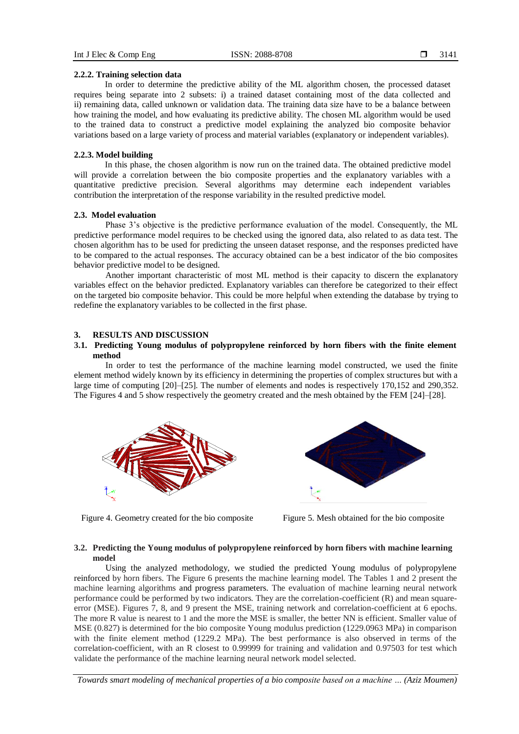## **2.2.2. Training selection data**

In order to determine the predictive ability of the ML algorithm chosen, the processed dataset requires being separate into 2 subsets: i) a trained dataset containing most of the data collected and ii) remaining data, called unknown or validation data. The training data size have to be a balance between how training the model, and how evaluating its predictive ability. The chosen ML algorithm would be used to the trained data to construct a predictive model explaining the analyzed bio composite behavior variations based on a large variety of process and material variables (explanatory or independent variables).

### **2.2.3. Model building**

In this phase, the chosen algorithm is now run on the trained data. The obtained predictive model will provide a correlation between the bio composite properties and the explanatory variables with a quantitative predictive precision. Several algorithms may determine each independent variables contribution the interpretation of the response variability in the resulted predictive model.

#### **2.3. Model evaluation**

Phase 3's objective is the predictive performance evaluation of the model. Consequently, the ML predictive performance model requires to be checked using the ignored data, also related to as data test. The chosen algorithm has to be used for predicting the unseen dataset response, and the responses predicted have to be compared to the actual responses. The accuracy obtained can be a best indicator of the bio composites behavior predictive model to be designed.

Another important characteristic of most ML method is their capacity to discern the explanatory variables effect on the behavior predicted. Explanatory variables can therefore be categorized to their effect on the targeted bio composite behavior. This could be more helpful when extending the database by trying to redefine the explanatory variables to be collected in the first phase.

#### **3. RESULTS AND DISCUSSION**

# **3.1. Predicting Young modulus of polypropylene reinforced by horn fibers with the finite element method**

In order to test the performance of the machine learning model constructed, we used the finite element method widely known by its efficiency in determining the properties of complex structures but with a large time of computing [20]–[25]. The number of elements and nodes is respectively 170,152 and 290,352. The Figures 4 and 5 show respectively the geometry created and the mesh obtained by the FEM [24]–[28].





Figure 4. Geometry created for the bio composite Figure 5. Mesh obtained for the bio composite

# **3.2. Predicting the Young modulus of polypropylene reinforced by horn fibers with machine learning model**

Using the analyzed methodology, we studied the predicted Young modulus of polypropylene reinforced by horn fibers. The Figure 6 presents the machine learning model. The Tables 1 and 2 present the machine learning algorithms and progress parameters. The evaluation of machine learning neural network performance could be performed by two indicators. They are the correlation-coefficient (R) and mean squareerror (MSE). Figures 7, 8, and 9 present the MSE, training network and correlation-coefficient at 6 epochs. The more R value is nearest to 1 and the more the MSE is smaller, the better NN is efficient. Smaller value of MSE (0.827) is determined for the bio composite Young modulus prediction (1229.0963 MPa) in comparison with the finite element method (1229.2 MPa). The best performance is also observed in terms of the correlation-coefficient, with an R closest to 0.99999 for training and validation and 0.97503 for test which validate the performance of the machine learning neural network model selected.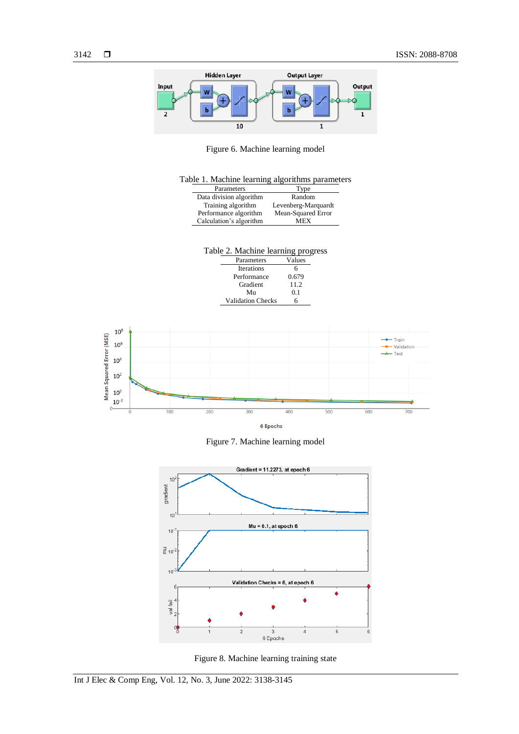

Figure 6. Machine learning model

|  | Table 1. Machine learning algorithms parameters |  |  |  |
|--|-------------------------------------------------|--|--|--|
|--|-------------------------------------------------|--|--|--|

| Parameters              | Type                |  |
|-------------------------|---------------------|--|
| Data division algorithm | Random              |  |
| Training algorithm      | Levenberg-Marquardt |  |
| Performance algorithm   | Mean-Squared Error  |  |
| Calculation's algorithm | MEX                 |  |



Figure 7. Machine learning model



Figure 8. Machine learning training state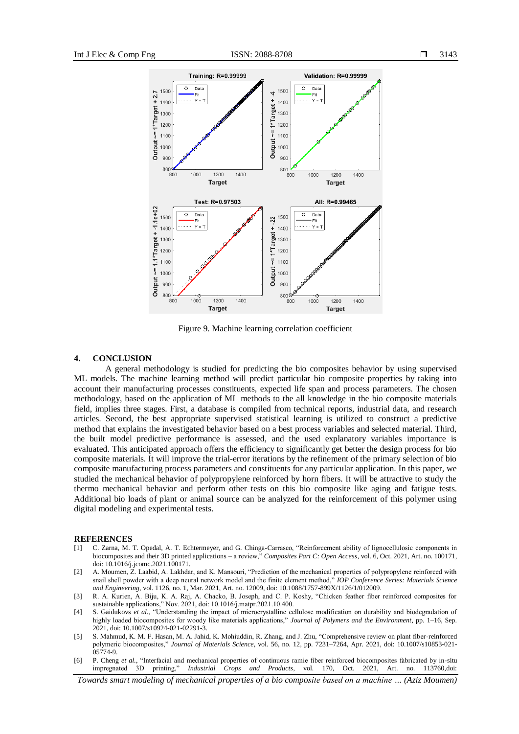

Figure 9. Machine learning correlation coefficient

## **4. CONCLUSION**

A general methodology is studied for predicting the bio composites behavior by using supervised ML models. The machine learning method will predict particular bio composite properties by taking into account their manufacturing processes constituents, expected life span and process parameters. The chosen methodology, based on the application of ML methods to the all knowledge in the bio composite materials field, implies three stages. First, a database is compiled from technical reports, industrial data, and research articles. Second, the best appropriate supervised statistical learning is utilized to construct a predictive method that explains the investigated behavior based on a best process variables and selected material. Third, the built model predictive performance is assessed, and the used explanatory variables importance is evaluated. This anticipated approach offers the efficiency to significantly get better the design process for bio composite materials. It will improve the trial-error iterations by the refinement of the primary selection of bio composite manufacturing process parameters and constituents for any particular application. In this paper, we studied the mechanical behavior of polypropylene reinforced by horn fibers. It will be attractive to study the thermo mechanical behavior and perform other tests on this bio composite like aging and fatigue tests. Additional bio loads of plant or animal source can be analyzed for the reinforcement of this polymer using digital modeling and experimental tests.

#### **REFERENCES**

- [1] C. Zarna, M. T. Opedal, A. T. Echtermeyer, and G. Chinga-Carrasco, "Reinforcement ability of lignocellulosic components in biocomposites and their 3D printed applications – a review," *Composites Part C: Open Access*, vol. 6, Oct. 2021, Art. no. 100171, doi: 10.1016/j.jcomc.2021.100171.
- [2] A. Moumen, Z. Laabid, A. Lakhdar, and K. Mansouri, "Prediction of the mechanical properties of polypropylene reinforced with snail shell powder with a deep neural network model and the finite element method," *IOP Conference Series: Materials Science and Engineering*, vol. 1126, no. 1, Mar. 2021, Art. no. 12009, doi: 10.1088/1757-899X/1126/1/012009.
- [3] R. A. Kurien, A. Biju, K. A. Raj, A. Chacko, B. Joseph, and C. P. Koshy, "Chicken feather fiber reinforced composites for sustainable applications," Nov. 2021, doi: 10.1016/j.matpr.2021.10.400.
- [4] S. Gaidukovs *et al.*, "Understanding the impact of microcrystalline cellulose modification on durability and biodegradation of highly loaded biocomposites for woody like materials applications," *Journal of Polymers and the Environment*, pp. 1–16, Sep. 2021, doi: 10.1007/s10924-021-02291-3.
- [5] S. Mahmud, K. M. F. Hasan, M. A. Jahid, K. Mohiuddin, R. Zhang, and J. Zhu, "Comprehensive review on plant fiber-reinforced polymeric biocomposites," *Journal of Materials Science*, vol. 56, no. 12, pp. 7231–7264, Apr. 2021, doi: 10.1007/s10853-021- 05774-9.
- [6] P. Cheng *et al.*, "Interfacial and mechanical properties of continuous ramie fiber reinforced biocomposites fabricated by in-situ impregnated 3D printing," *Industrial Crops and Products*, vol. 170, Oct. 2021, Art. no. 113760,doi: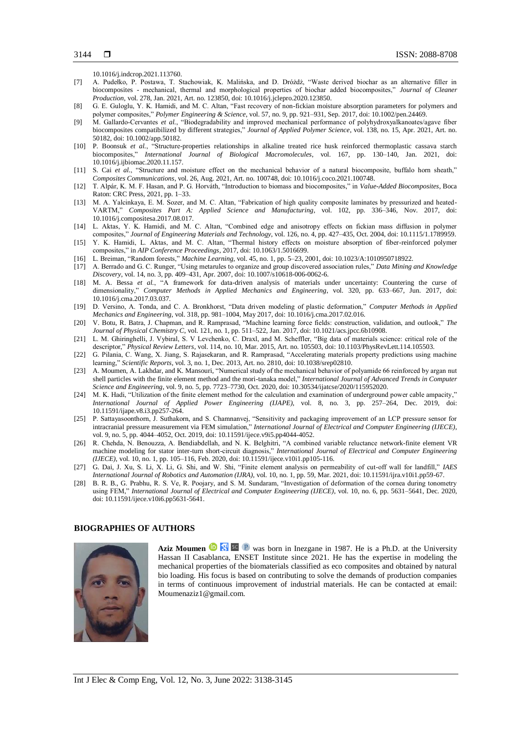10.1016/j.indcrop.2021.113760.

- [7] A. Pudełko, P. Postawa, T. Stachowiak, K. Malińska, and D. Dróżdż, "Waste derived biochar as an alternative filler in biocomposites - mechanical, thermal and morphological properties of biochar added biocomposites," *Journal of Cleaner Production*, vol. 278, Jan. 2021, Art. no. 123850, doi: 10.1016/j.jclepro.2020.123850.
- [8] G. E. Guloglu, Y. K. Hamidi, and M. C. Altan, "Fast recovery of non-fickian moisture absorption parameters for polymers and polymer composites," *Polymer Engineering & Science*, vol. 57, no. 9, pp. 921–931, Sep. 2017, doi: 10.1002/pen.24469.
- [9] M. Gallardo‐Cervantes *et al.*, "Biodegradability and improved mechanical performance of polyhydroxyalkanoates/agave fiber biocomposites compatibilized by different strategies," *Journal of Applied Polymer Science*, vol. 138, no. 15, Apr. 2021, Art. no. 50182, doi: 10.1002/app.50182.
- [10] P. Boonsuk *et al.*, "Structure-properties relationships in alkaline treated rice husk reinforced thermoplastic cassava starch biocomposites," *International Journal of Biological Macromolecules*, vol. 167, pp. 130–140, Jan. 2021, doi: 10.1016/j.ijbiomac.2020.11.157.
- [11] S. Cai *et al.*, "Structure and moisture effect on the mechanical behavior of a natural biocomposite, buffalo horn sheath," *Composites Communications*, vol. 26, Aug. 2021, Art. no. 100748, doi: 10.1016/j.coco.2021.100748.
- [12] T. Alpár, K. M. F. Hasan, and P. G. Horváth, "Introduction to biomass and biocomposites," in *Value-Added Biocomposites*, Boca Raton: CRC Press, 2021, pp. 1–33.
- [13] M. A. Yalcinkaya, E. M. Sozer, and M. C. Altan, "Fabrication of high quality composite laminates by pressurized and heated-VARTM," *Composites Part A: Applied Science and Manufacturing*, vol. 102, pp. 336–346, Nov. 2017, doi: 10.1016/j.compositesa.2017.08.017.
- [14] L. Aktas, Y. K. Hamidi, and M. C. Altan, "Combined edge and anisotropy effects on fickian mass diffusion in polymer composites," *Journal of Engineering Materials and Technology*, vol. 126, no. 4, pp. 427–435, Oct. 2004, doi: 10.1115/1.1789959.
- [15] Y. K. Hamidi, L. Aktas, and M. C. Altan, "Thermal history effects on moisture absorption of fiber-reinforced polymer composites," in *AIP Conference Proceedings*, 2017, doi: 10.1063/1.5016699.
- [16] L. Breiman, "Random forests," *Machine Learning*, vol. 45, no. 1, pp. 5–23, 2001, doi: 10.1023/A:1010950718922.
- [17] A. Berrado and G. C. Runger, "Using metarules to organize and group discovered association rules," *Data Mining and Knowledge Discovery*, vol. 14, no. 3, pp. 409–431, Apr. 2007, doi: 10.1007/s10618-006-0062-6.
- [18] M. A. Bessa *et al.*, "A framework for data-driven analysis of materials under uncertainty: Countering the curse of dimensionality," *Computer Methods in Applied Mechanics and Engineering*, vol. 320, pp. 633–667, Jun. 2017, doi: 10.1016/j.cma.2017.03.037.
- [19] D. Versino, A. Tonda, and C. A. Bronkhorst, "Data driven modeling of plastic deformation," *Computer Methods in Applied Mechanics and Engineering*, vol. 318, pp. 981–1004, May 2017, doi: 10.1016/j.cma.2017.02.016.
- [20] V. Botu, R. Batra, J. Chapman, and R. Ramprasad, "Machine learning force fields: construction, validation, and outlook," *The Journal of Physical Chemistry C*, vol. 121, no. 1, pp. 511–522, Jan. 2017, doi: 10.1021/acs.jpcc.6b10908.
- [21] L. M. Ghiringhelli, J. Vybiral, S. V Levchenko, C. Draxl, and M. Scheffler, "Big data of materials science: critical role of the descriptor," *Physical Review Letters*, vol. 114, no. 10, Mar. 2015, Art. no. 105503, doi: 10.1103/PhysRevLett.114.105503.
- [22] G. Pilania, C. Wang, X. Jiang, S. Rajasekaran, and R. Ramprasad, "Accelerating materials property predictions using machine learning," *Scientific Reports*, vol. 3, no. 1, Dec. 2013, Art. no. 2810, doi: 10.1038/srep02810.
- [23] A. Moumen, A. Lakhdar, and K. Mansouri, "Numerical study of the mechanical behavior of polyamide 66 reinforced by argan nut shell particles with the finite element method and the mori-tanaka model," *International Journal of Advanced Trends in Computer Science and Engineering*, vol. 9, no. 5, pp. 7723–7730, Oct. 2020, doi: 10.30534/ijatcse/2020/115952020.
- [24] M. K. Hadi, "Utilization of the finite element method for the calculation and examination of underground power cable ampacity," *International Journal of Applied Power Engineering (IJAPE)*, vol. 8, no. 3, pp. 257–264, Dec. 2019, doi: 10.11591/ijape.v8.i3.pp257-264.
- [25] P. Sattayasoonthorn, J. Suthakorn, and S. Chamnanvej, "Sensitivity and packaging improvement of an LCP pressure sensor for intracranial pressure measurement via FEM simulation," *International Journal of Electrical and Computer Engineering (IJECE)*, vol. 9, no. 5, pp. 4044–4052, Oct. 2019, doi: 10.11591/ijece.v9i5.pp4044-4052.
- [26] R. Chehda, N. Benouzza, A. Bendiabdellah, and N. K. Belghitri, "A combined variable reluctance network-finite element VR machine modeling for stator inter-turn short-circuit diagnosis," *International Journal of Electrical and Computer Engineering (IJECE)*, vol. 10, no. 1, pp. 105–116, Feb. 2020, doi: 10.11591/ijece.v10i1.pp105-116.
- [27] G. Dai, J. Xu, S. Li, X. Li, G. Shi, and W. Shi, "Finite element analysis on permeability of cut-off wall for landfill," *IAES International Journal of Robotics and Automation (IJRA)*, vol. 10, no. 1, pp. 59, Mar. 2021, doi: 10.11591/ijra.v10i1.pp59-67.
- [28] B. R. B., G. Prabhu, R. S. Ve, R. Poojary, and S. M. Sundaram, "Investigation of deformation of the cornea during tonometry using FEM," *International Journal of Electrical and Computer Engineering (IJECE)*, vol. 10, no. 6, pp. 5631–5641, Dec. 2020, doi: 10.11591/ijece.v10i6.pp5631-5641.

### **BIOGRAPHIES OF AUTHORS**



Aziz Moumen **D N** sc **P** was born in Inezgane in 1987. He is a Ph.D. at the University Hassan II Casablanca, ENSET Institute since 2021. He has the expertise in modeling the mechanical properties of the biomaterials classified as eco composites and obtained by natural bio loading. His focus is based on contributing to solve the demands of production companies in terms of continuous improvement of industrial materials. He can be contacted at email: Moumenaziz1@gmail.com.